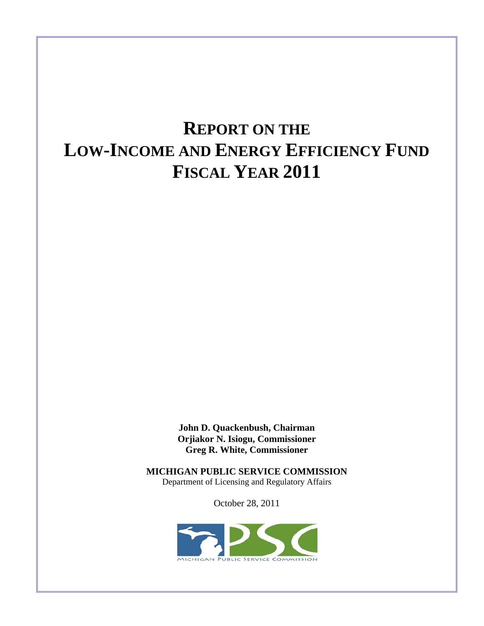# **REPORT ON THE LOW-INCOME AND ENERGY EFFICIENCY FUND FISCAL YEAR 2011**

**John D. Quackenbush, Chairman Orjiakor N. Isiogu, Commissioner Greg R. White, Commissioner** 

**MICHIGAN PUBLIC SERVICE COMMISSION**  Department of Licensing and Regulatory Affairs

October 28, 2011

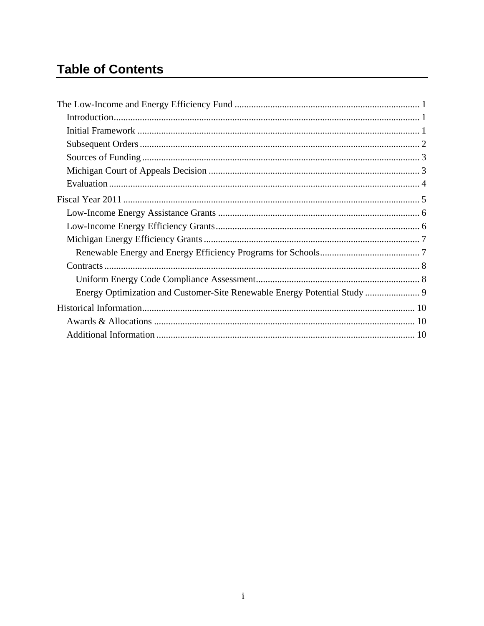# **Table of Contents**

| Energy Optimization and Customer-Site Renewable Energy Potential Study  9 |  |
|---------------------------------------------------------------------------|--|
|                                                                           |  |
|                                                                           |  |
|                                                                           |  |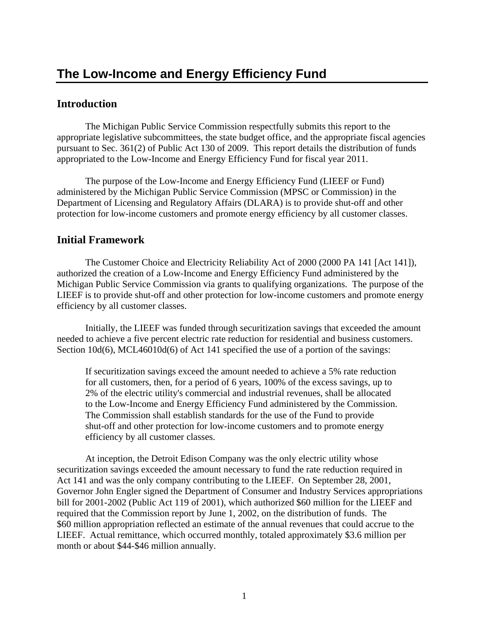## **Introduction**

 The Michigan Public Service Commission respectfully submits this report to the appropriate legislative subcommittees, the state budget office, and the appropriate fiscal agencies pursuant to Sec. 361(2) of Public Act 130 of 2009. This report details the distribution of funds appropriated to the Low-Income and Energy Efficiency Fund for fiscal year 2011.

 The purpose of the Low-Income and Energy Efficiency Fund (LIEEF or Fund) administered by the Michigan Public Service Commission (MPSC or Commission) in the Department of Licensing and Regulatory Affairs (DLARA) is to provide shut-off and other protection for low-income customers and promote energy efficiency by all customer classes.

## **Initial Framework**

 The Customer Choice and Electricity Reliability Act of 2000 (2000 PA 141 [Act 141]), authorized the creation of a Low-Income and Energy Efficiency Fund administered by the Michigan Public Service Commission via grants to qualifying organizations. The purpose of the LIEEF is to provide shut-off and other protection for low-income customers and promote energy efficiency by all customer classes.

 Initially, the LIEEF was funded through securitization savings that exceeded the amount needed to achieve a five percent electric rate reduction for residential and business customers. Section 10d(6), MCL46010d(6) of Act 141 specified the use of a portion of the savings:

If securitization savings exceed the amount needed to achieve a 5% rate reduction for all customers, then, for a period of 6 years, 100% of the excess savings, up to 2% of the electric utility's commercial and industrial revenues, shall be allocated to the Low-Income and Energy Efficiency Fund administered by the Commission. The Commission shall establish standards for the use of the Fund to provide shut-off and other protection for low-income customers and to promote energy efficiency by all customer classes.

 At inception, the Detroit Edison Company was the only electric utility whose securitization savings exceeded the amount necessary to fund the rate reduction required in Act 141 and was the only company contributing to the LIEEF. On September 28, 2001, Governor John Engler signed the Department of Consumer and Industry Services appropriations bill for 2001-2002 (Public Act 119 of 2001), which authorized \$60 million for the LIEEF and required that the Commission report by June 1, 2002, on the distribution of funds. The \$60 million appropriation reflected an estimate of the annual revenues that could accrue to the LIEEF. Actual remittance, which occurred monthly, totaled approximately \$3.6 million per month or about \$44-\$46 million annually.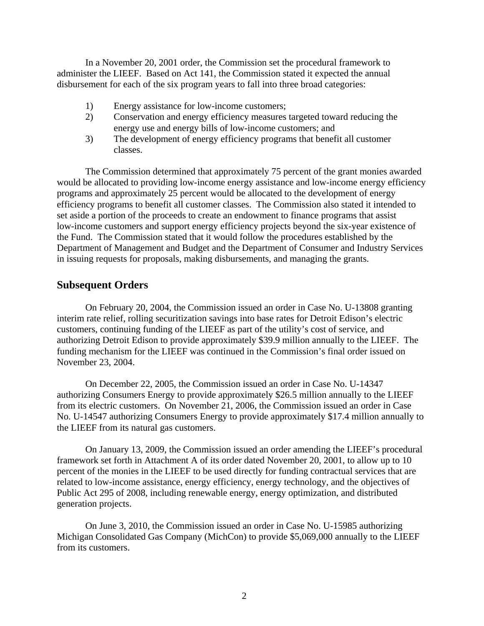In a November 20, 2001 order, the Commission set the procedural framework to administer the LIEEF. Based on Act 141, the Commission stated it expected the annual disbursement for each of the six program years to fall into three broad categories:

- 1) Energy assistance for low-income customers;
- 2) Conservation and energy efficiency measures targeted toward reducing the energy use and energy bills of low-income customers; and
- 3) The development of energy efficiency programs that benefit all customer classes.

 The Commission determined that approximately 75 percent of the grant monies awarded would be allocated to providing low-income energy assistance and low-income energy efficiency programs and approximately 25 percent would be allocated to the development of energy efficiency programs to benefit all customer classes. The Commission also stated it intended to set aside a portion of the proceeds to create an endowment to finance programs that assist low-income customers and support energy efficiency projects beyond the six-year existence of the Fund. The Commission stated that it would follow the procedures established by the Department of Management and Budget and the Department of Consumer and Industry Services in issuing requests for proposals, making disbursements, and managing the grants.

#### **Subsequent Orders**

 On February 20, 2004, the Commission issued an order in Case No. U-13808 granting interim rate relief, rolling securitization savings into base rates for Detroit Edison's electric customers, continuing funding of the LIEEF as part of the utility's cost of service, and authorizing Detroit Edison to provide approximately \$39.9 million annually to the LIEEF. The funding mechanism for the LIEEF was continued in the Commission's final order issued on November 23, 2004.

 On December 22, 2005, the Commission issued an order in Case No. U-14347 authorizing Consumers Energy to provide approximately \$26.5 million annually to the LIEEF from its electric customers. On November 21, 2006, the Commission issued an order in Case No. U-14547 authorizing Consumers Energy to provide approximately \$17.4 million annually to the LIEEF from its natural gas customers.

 On January 13, 2009, the Commission issued an order amending the LIEEF's procedural framework set forth in Attachment A of its order dated November 20, 2001, to allow up to 10 percent of the monies in the LIEEF to be used directly for funding contractual services that are related to low-income assistance, energy efficiency, energy technology, and the objectives of Public Act 295 of 2008, including renewable energy, energy optimization, and distributed generation projects.

 On June 3, 2010, the Commission issued an order in Case No. U-15985 authorizing Michigan Consolidated Gas Company (MichCon) to provide \$5,069,000 annually to the LIEEF from its customers.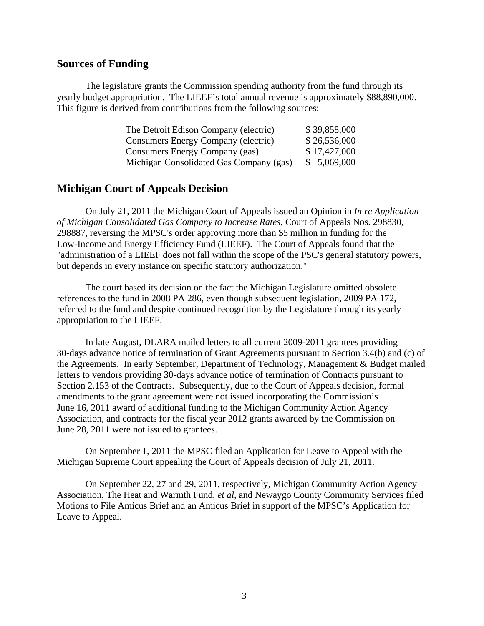#### **Sources of Funding**

 The legislature grants the Commission spending authority from the fund through its yearly budget appropriation. The LIEEF's total annual revenue is approximately \$88,890,000. This figure is derived from contributions from the following sources:

| The Detroit Edison Company (electric)   | \$39,858,000 |
|-----------------------------------------|--------------|
| Consumers Energy Company (electric)     | \$26,536,000 |
| Consumers Energy Company (gas)          | \$17,427,000 |
| Michigan Consolidated Gas Company (gas) | \$5,069,000  |

#### **Michigan Court of Appeals Decision**

 On July 21, 2011 the Michigan Court of Appeals issued an Opinion in *In re Application of Michigan Consolidated Gas Company to Increase Rates,* Court of Appeals Nos. 298830, 298887, reversing the MPSC's order approving more than \$5 million in funding for the Low-Income and Energy Efficiency Fund (LIEEF). The Court of Appeals found that the "administration of a LIEEF does not fall within the scope of the PSC's general statutory powers, but depends in every instance on specific statutory authorization."

 The court based its decision on the fact the Michigan Legislature omitted obsolete references to the fund in 2008 PA 286, even though subsequent legislation, 2009 PA 172, referred to the fund and despite continued recognition by the Legislature through its yearly appropriation to the LIEEF.

 In late August, DLARA mailed letters to all current 2009-2011 grantees providing 30-days advance notice of termination of Grant Agreements pursuant to Section 3.4(b) and (c) of the Agreements. In early September, Department of Technology, Management & Budget mailed letters to vendors providing 30-days advance notice of termination of Contracts pursuant to Section 2.153 of the Contracts. Subsequently, due to the Court of Appeals decision, formal amendments to the grant agreement were not issued incorporating the Commission's June 16, 2011 award of additional funding to the Michigan Community Action Agency Association, and contracts for the fiscal year 2012 grants awarded by the Commission on June 28, 2011 were not issued to grantees.

 On September 1, 2011 the MPSC filed an Application for Leave to Appeal with the Michigan Supreme Court appealing the Court of Appeals decision of July 21, 2011.

 On September 22, 27 and 29, 2011, respectively, Michigan Community Action Agency Association, The Heat and Warmth Fund, *et al*, and Newaygo County Community Services filed Motions to File Amicus Brief and an Amicus Brief in support of the MPSC's Application for Leave to Appeal.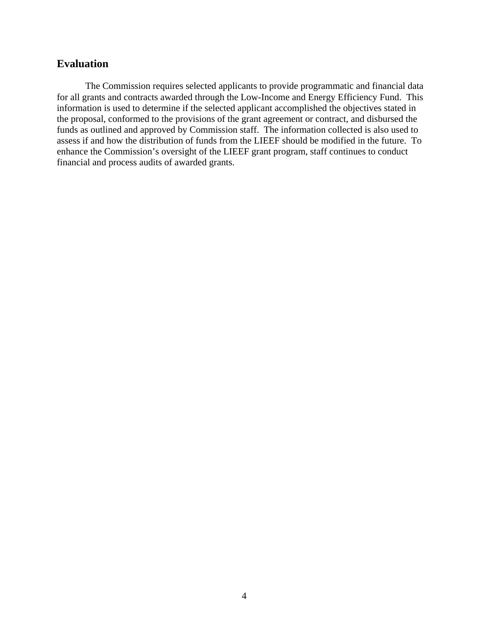## **Evaluation**

 The Commission requires selected applicants to provide programmatic and financial data for all grants and contracts awarded through the Low-Income and Energy Efficiency Fund. This information is used to determine if the selected applicant accomplished the objectives stated in the proposal, conformed to the provisions of the grant agreement or contract, and disbursed the funds as outlined and approved by Commission staff. The information collected is also used to assess if and how the distribution of funds from the LIEEF should be modified in the future. To enhance the Commission's oversight of the LIEEF grant program, staff continues to conduct financial and process audits of awarded grants.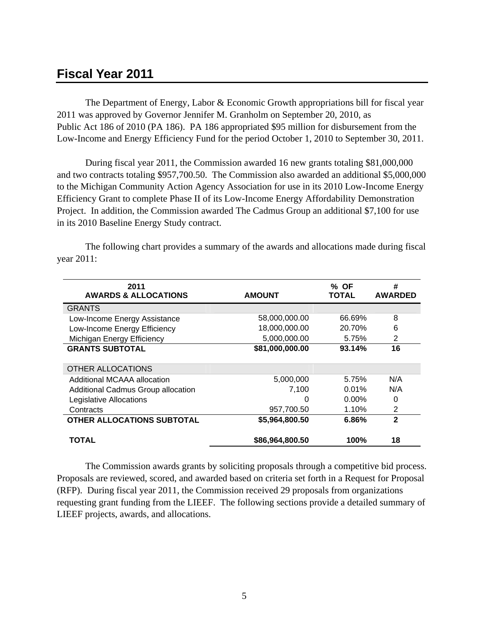## **Fiscal Year 2011**

 The Department of Energy, Labor & Economic Growth appropriations bill for fiscal year 2011 was approved by Governor Jennifer M. Granholm on September 20, 2010, as Public Act 186 of 2010 (PA 186). PA 186 appropriated \$95 million for disbursement from the Low-Income and Energy Efficiency Fund for the period October 1, 2010 to September 30, 2011.

 During fiscal year 2011, the Commission awarded 16 new grants totaling \$81,000,000 and two contracts totaling \$957,700.50. The Commission also awarded an additional \$5,000,000 to the Michigan Community Action Agency Association for use in its 2010 Low-Income Energy Efficiency Grant to complete Phase II of its Low-Income Energy Affordability Demonstration Project. In addition, the Commission awarded The Cadmus Group an additional \$7,100 for use in its 2010 Baseline Energy Study contract.

 The following chart provides a summary of the awards and allocations made during fiscal year 2011:

| 2011<br><b>AWARDS &amp; ALLOCATIONS</b> | <b>AMOUNT</b>   | % OF<br><b>TOTAL</b> | #<br><b>AWARDED</b> |
|-----------------------------------------|-----------------|----------------------|---------------------|
| <b>GRANTS</b>                           |                 |                      |                     |
| Low-Income Energy Assistance            | 58,000,000.00   | 66.69%               | 8                   |
| Low-Income Energy Efficiency            | 18,000,000.00   | 20.70%               | 6                   |
| Michigan Energy Efficiency              | 5,000,000.00    | 5.75%                | 2                   |
| <b>GRANTS SUBTOTAL</b>                  | \$81,000,000.00 | 93.14%               | 16                  |
| OTHER ALLOCATIONS                       |                 |                      |                     |
| Additional MCAAA allocation             | 5,000,000       | 5.75%                | N/A                 |
| Additional Cadmus Group allocation      | 7.100           | $0.01\%$             | N/A                 |
| Legislative Allocations                 | O               | $0.00\%$             | 0                   |
| Contracts                               | 957,700.50      | 1.10%                | $\overline{2}$      |
| <b>OTHER ALLOCATIONS SUBTOTAL</b>       | \$5,964,800.50  | 6.86%                | $\overline{2}$      |
| TOTAL                                   | \$86,964,800.50 | 100%                 | 18                  |

 The Commission awards grants by soliciting proposals through a competitive bid process. Proposals are reviewed, scored, and awarded based on criteria set forth in a Request for Proposal (RFP). During fiscal year 2011, the Commission received 29 proposals from organizations requesting grant funding from the LIEEF. The following sections provide a detailed summary of LIEEF projects, awards, and allocations.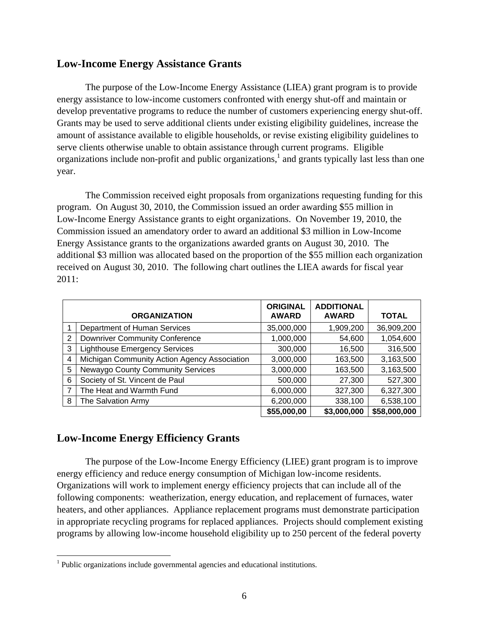#### **Low-Income Energy Assistance Grants**

 The purpose of the Low-Income Energy Assistance (LIEA) grant program is to provide energy assistance to low-income customers confronted with energy shut-off and maintain or develop preventative programs to reduce the number of customers experiencing energy shut-off. Grants may be used to serve additional clients under existing eligibility guidelines, increase the amount of assistance available to eligible households, or revise existing eligibility guidelines to serve clients otherwise unable to obtain assistance through current programs. Eligible organizations include non-profit and public organizations,<sup>1</sup> and grants typically last less than one year.

 The Commission received eight proposals from organizations requesting funding for this program. On August 30, 2010, the Commission issued an order awarding \$55 million in Low-Income Energy Assistance grants to eight organizations. On November 19, 2010, the Commission issued an amendatory order to award an additional \$3 million in Low-Income Energy Assistance grants to the organizations awarded grants on August 30, 2010. The additional \$3 million was allocated based on the proportion of the \$55 million each organization received on August 30, 2010. The following chart outlines the LIEA awards for fiscal year 2011:

|   | <b>ORGANIZATION</b>                          | <b>ORIGINAL</b><br><b>AWARD</b> | <b>ADDITIONAL</b><br><b>AWARD</b> | <b>TOTAL</b> |
|---|----------------------------------------------|---------------------------------|-----------------------------------|--------------|
|   |                                              |                                 |                                   |              |
|   | Department of Human Services                 | 35,000,000                      | 1,909,200                         | 36,909,200   |
| 2 | <b>Downriver Community Conference</b>        | 1,000,000                       | 54,600                            | 1,054,600    |
| 3 | <b>Lighthouse Emergency Services</b>         | 300,000                         | 16,500                            | 316,500      |
| 4 | Michigan Community Action Agency Association | 3,000,000                       | 163,500                           | 3,163,500    |
| 5 | Newaygo County Community Services            | 3,000,000                       | 163,500                           | 3,163,500    |
| 6 | Society of St. Vincent de Paul               | 500,000                         | 27,300                            | 527,300      |
| 7 | The Heat and Warmth Fund                     | 6,000,000                       | 327,300                           | 6,327,300    |
| 8 | The Salvation Army                           | 6,200,000                       | 338,100                           | 6,538,100    |
|   |                                              | \$55,000,00                     | \$3,000,000                       | \$58,000,000 |

## **Low-Income Energy Efficiency Grants**

 $\overline{a}$ 

 The purpose of the Low-Income Energy Efficiency (LIEE) grant program is to improve energy efficiency and reduce energy consumption of Michigan low-income residents. Organizations will work to implement energy efficiency projects that can include all of the following components: weatherization, energy education, and replacement of furnaces, water heaters, and other appliances. Appliance replacement programs must demonstrate participation in appropriate recycling programs for replaced appliances. Projects should complement existing programs by allowing low-income household eligibility up to 250 percent of the federal poverty

<sup>&</sup>lt;sup>1</sup> Public organizations include governmental agencies and educational institutions.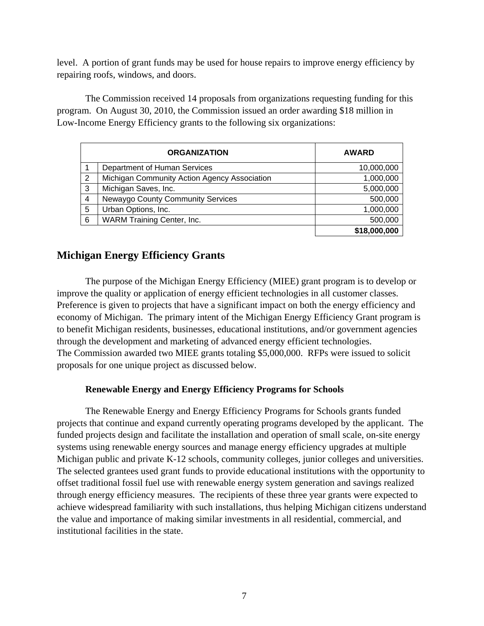level. A portion of grant funds may be used for house repairs to improve energy efficiency by repairing roofs, windows, and doors.

 The Commission received 14 proposals from organizations requesting funding for this program. On August 30, 2010, the Commission issued an order awarding \$18 million in Low-Income Energy Efficiency grants to the following six organizations:

|   | <b>ORGANIZATION</b>                          | <b>AWARD</b> |
|---|----------------------------------------------|--------------|
|   | Department of Human Services                 | 10,000,000   |
| 2 | Michigan Community Action Agency Association | 1,000,000    |
| 3 | Michigan Saves, Inc.                         | 5,000,000    |
| 4 | <b>Newaygo County Community Services</b>     | 500,000      |
| 5 | Urban Options, Inc.                          | 1,000,000    |
| 6 | WARM Training Center, Inc.                   | 500,000      |
|   |                                              | \$18,000,000 |

## **Michigan Energy Efficiency Grants**

 The purpose of the Michigan Energy Efficiency (MIEE) grant program is to develop or improve the quality or application of energy efficient technologies in all customer classes. Preference is given to projects that have a significant impact on both the energy efficiency and economy of Michigan. The primary intent of the Michigan Energy Efficiency Grant program is to benefit Michigan residents, businesses, educational institutions, and/or government agencies through the development and marketing of advanced energy efficient technologies. The Commission awarded two MIEE grants totaling \$5,000,000. RFPs were issued to solicit proposals for one unique project as discussed below.

#### **Renewable Energy and Energy Efficiency Programs for Schools**

 The Renewable Energy and Energy Efficiency Programs for Schools grants funded projects that continue and expand currently operating programs developed by the applicant. The funded projects design and facilitate the installation and operation of small scale, on-site energy systems using renewable energy sources and manage energy efficiency upgrades at multiple Michigan public and private K-12 schools, community colleges, junior colleges and universities. The selected grantees used grant funds to provide educational institutions with the opportunity to offset traditional fossil fuel use with renewable energy system generation and savings realized through energy efficiency measures. The recipients of these three year grants were expected to achieve widespread familiarity with such installations, thus helping Michigan citizens understand the value and importance of making similar investments in all residential, commercial, and institutional facilities in the state.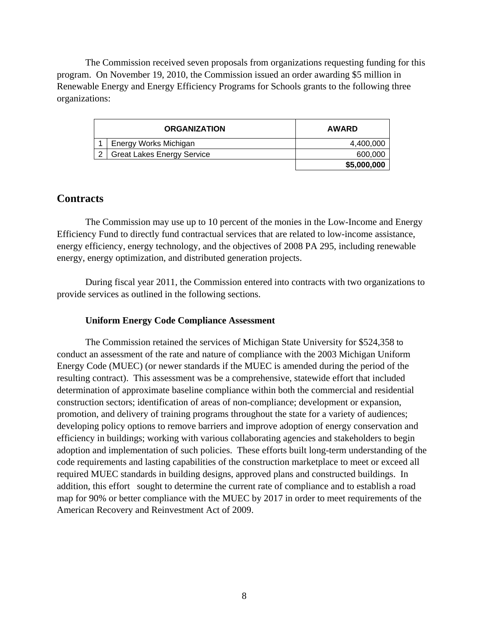The Commission received seven proposals from organizations requesting funding for this program. On November 19, 2010, the Commission issued an order awarding \$5 million in Renewable Energy and Energy Efficiency Programs for Schools grants to the following three organizations:

| <b>ORGANIZATION</b> |                                   | <b>AWARD</b> |
|---------------------|-----------------------------------|--------------|
|                     | Energy Works Michigan             | 4,400,000    |
| 2                   | <b>Great Lakes Energy Service</b> | 600,000      |
|                     |                                   | \$5,000,000  |

#### **Contracts**

 The Commission may use up to 10 percent of the monies in the Low-Income and Energy Efficiency Fund to directly fund contractual services that are related to low-income assistance, energy efficiency, energy technology, and the objectives of 2008 PA 295, including renewable energy, energy optimization, and distributed generation projects.

 During fiscal year 2011, the Commission entered into contracts with two organizations to provide services as outlined in the following sections.

#### **Uniform Energy Code Compliance Assessment**

 The Commission retained the services of Michigan State University for \$524,358 to conduct an assessment of the rate and nature of compliance with the 2003 Michigan Uniform Energy Code (MUEC) (or newer standards if the MUEC is amended during the period of the resulting contract). This assessment was be a comprehensive, statewide effort that included determination of approximate baseline compliance within both the commercial and residential construction sectors; identification of areas of non-compliance; development or expansion, promotion, and delivery of training programs throughout the state for a variety of audiences; developing policy options to remove barriers and improve adoption of energy conservation and efficiency in buildings; working with various collaborating agencies and stakeholders to begin adoption and implementation of such policies. These efforts built long-term understanding of the code requirements and lasting capabilities of the construction marketplace to meet or exceed all required MUEC standards in building designs, approved plans and constructed buildings. In addition, this effort sought to determine the current rate of compliance and to establish a road map for 90% or better compliance with the MUEC by 2017 in order to meet requirements of the American Recovery and Reinvestment Act of 2009.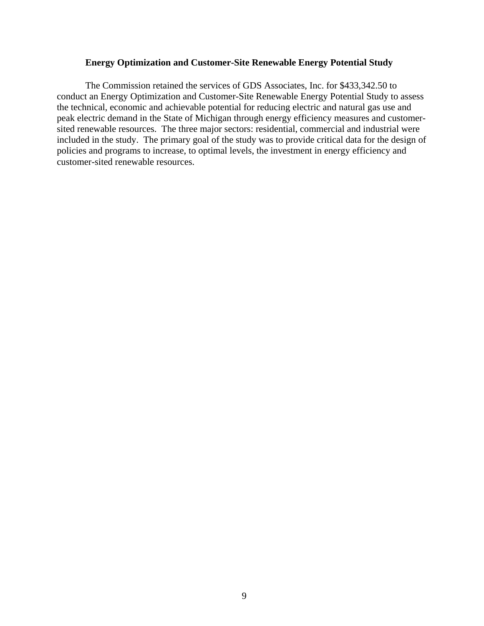#### **Energy Optimization and Customer-Site Renewable Energy Potential Study**

The Commission retained the services of GDS Associates, Inc. for \$433,342.50 to conduct an Energy Optimization and Customer-Site Renewable Energy Potential Study to assess the technical, economic and achievable potential for reducing electric and natural gas use and peak electric demand in the State of Michigan through energy efficiency measures and customersited renewable resources. The three major sectors: residential, commercial and industrial were included in the study. The primary goal of the study was to provide critical data for the design of policies and programs to increase, to optimal levels, the investment in energy efficiency and customer-sited renewable resources.